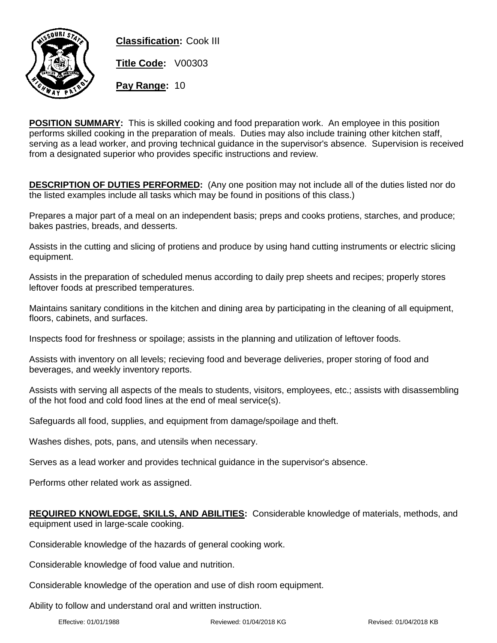

**Classification:** Cook III **Title Code:** V00303 **Pay Range:** 10

**POSITION SUMMARY:** This is skilled cooking and food preparation work. An employee in this position performs skilled cooking in the preparation of meals. Duties may also include training other kitchen staff, serving as a lead worker, and proving technical guidance in the supervisor's absence. Supervision is received from a designated superior who provides specific instructions and review.

**DESCRIPTION OF DUTIES PERFORMED:** (Any one position may not include all of the duties listed nor do the listed examples include all tasks which may be found in positions of this class.)

Prepares a major part of a meal on an independent basis; preps and cooks protiens, starches, and produce; bakes pastries, breads, and desserts.

Assists in the cutting and slicing of protiens and produce by using hand cutting instruments or electric slicing equipment.

Assists in the preparation of scheduled menus according to daily prep sheets and recipes; properly stores leftover foods at prescribed temperatures.

Maintains sanitary conditions in the kitchen and dining area by participating in the cleaning of all equipment, floors, cabinets, and surfaces.

Inspects food for freshness or spoilage; assists in the planning and utilization of leftover foods.

Assists with inventory on all levels; recieving food and beverage deliveries, proper storing of food and beverages, and weekly inventory reports.

Assists with serving all aspects of the meals to students, visitors, employees, etc.; assists with disassembling of the hot food and cold food lines at the end of meal service(s).

Safeguards all food, supplies, and equipment from damage/spoilage and theft.

Washes dishes, pots, pans, and utensils when necessary.

Serves as a lead worker and provides technical guidance in the supervisor's absence.

Performs other related work as assigned.

## **REQUIRED KNOWLEDGE, SKILLS, AND ABILITIES:** Considerable knowledge of materials, methods, and equipment used in large-scale cooking.

Considerable knowledge of the hazards of general cooking work.

Considerable knowledge of food value and nutrition.

Considerable knowledge of the operation and use of dish room equipment.

Ability to follow and understand oral and written instruction.